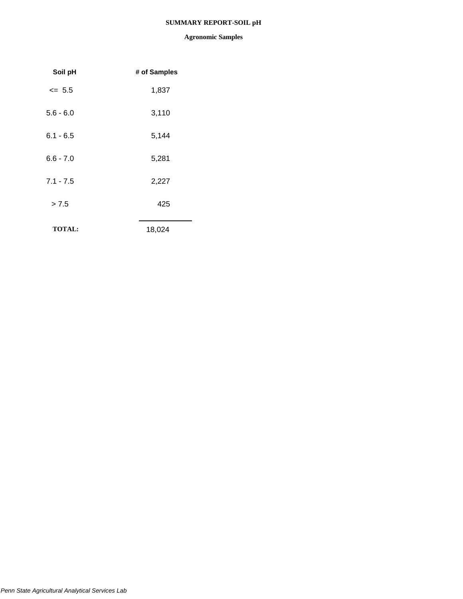## **SUMMARY REPORT-SOIL pH**

| Soil pH       | # of Samples |
|---------------|--------------|
| $\leq$ 5.5    | 1,837        |
| $5.6 - 6.0$   | 3,110        |
| $6.1 - 6.5$   | 5,144        |
| $6.6 - 7.0$   | 5,281        |
| $7.1 - 7.5$   | 2,227        |
| > 7.5         | 425          |
| <b>TOTAL:</b> | 18,024       |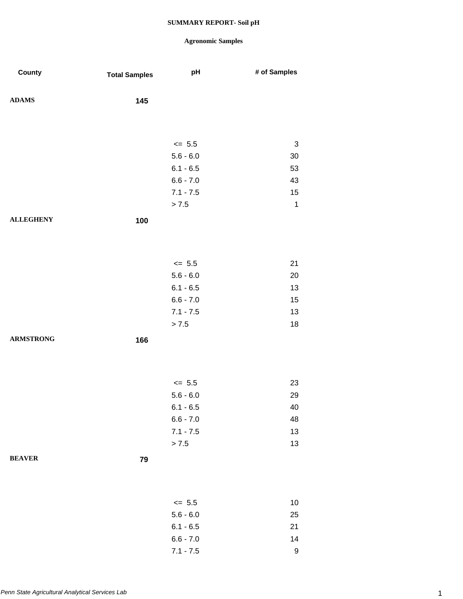| County           | <b>Total Samples</b> | pH          | # of Samples |
|------------------|----------------------|-------------|--------------|
| <b>ADAMS</b>     | 145                  |             |              |
|                  |                      |             |              |
|                  |                      | $\leq$ 5.5  | 3            |
|                  |                      | $5.6 - 6.0$ | 30           |
|                  |                      | $6.1 - 6.5$ | 53           |
|                  |                      | $6.6 - 7.0$ | 43           |
|                  |                      | $7.1 - 7.5$ | 15           |
|                  |                      | > 7.5       | $\mathbf{1}$ |
| <b>ALLEGHENY</b> | 100                  |             |              |
|                  |                      |             |              |
|                  |                      | $\leq$ 5.5  | 21           |
|                  |                      | $5.6 - 6.0$ | 20           |
|                  |                      | $6.1 - 6.5$ | 13           |
|                  |                      | $6.6 - 7.0$ | 15           |
|                  |                      | $7.1 - 7.5$ | 13           |
|                  |                      | > 7.5       | 18           |
| <b>ARMSTRONG</b> | 166                  |             |              |
|                  |                      |             |              |
|                  |                      | $\leq$ 5.5  | 23           |
|                  |                      | $5.6 - 6.0$ | 29           |
|                  |                      | $6.1 - 6.5$ | 40           |
|                  |                      | $6.6 - 7.0$ | 48           |
|                  |                      | $7.1 - 7.5$ | 13           |
|                  |                      | > 7.5       | 13           |
| <b>BEAVER</b>    | 79                   |             |              |
|                  |                      |             |              |
|                  |                      | $\leq$ 5.5  | $10$         |
|                  |                      | $5.6 - 6.0$ | 25           |
|                  |                      | $6.1 - 6.5$ | 21           |
|                  |                      | $6.6 - 7.0$ | 14           |
|                  |                      | $7.1 - 7.5$ | $\mathsf 9$  |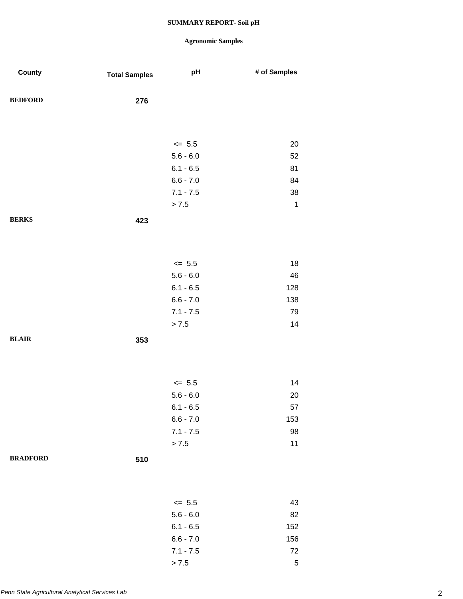| County          | <b>Total Samples</b> | pH                        | # of Samples |
|-----------------|----------------------|---------------------------|--------------|
| <b>BEDFORD</b>  | 276                  |                           |              |
|                 |                      |                           |              |
|                 |                      | $\leq$ 5.5                | 20           |
|                 |                      | $5.6 - 6.0$               | 52           |
|                 |                      | $6.1 - 6.5$               | 81           |
|                 |                      | $6.6 - 7.0$               | 84           |
|                 |                      | $7.1 - 7.5$               | 38           |
|                 |                      | > 7.5                     | $\mathbf{1}$ |
| <b>BERKS</b>    | 423                  |                           |              |
|                 |                      |                           |              |
|                 |                      | $\leq$ 5.5                | 18           |
|                 |                      | $5.6 - 6.0$               | 46           |
|                 |                      | $6.1 - 6.5$               | 128          |
|                 |                      | $6.6 - 7.0$               | 138          |
|                 |                      | $7.1 - 7.5$               | 79           |
|                 |                      | > 7.5                     | 14           |
| <b>BLAIR</b>    | 353                  |                           |              |
|                 |                      |                           |              |
|                 |                      | $\le$ 5.5                 | 14           |
|                 |                      | $5.6 - 6.0$               | 20           |
|                 |                      | $6.1 - 6.5$               | 57           |
|                 |                      | $6.6 - 7.0$               | 153          |
|                 |                      | $7.1 - 7.5$               | 98           |
|                 |                      | > 7.5                     | $11$         |
| <b>BRADFORD</b> | 510                  |                           |              |
|                 |                      |                           |              |
|                 |                      |                           |              |
|                 |                      | $\leq$ 5.5<br>$5.6 - 6.0$ | 43<br>82     |
|                 |                      | $6.1 - 6.5$               | 152          |
|                 |                      | $6.6 - 7.0$               | 156          |
|                 |                      | $7.1 - 7.5$               | $72\,$       |
|                 |                      | > 7.5                     | $\mathbf 5$  |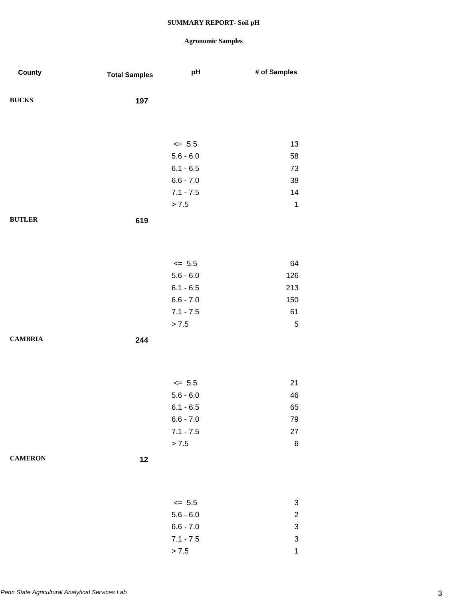| County         | <b>Total Samples</b> | pH          | # of Samples              |
|----------------|----------------------|-------------|---------------------------|
| <b>BUCKS</b>   | 197                  |             |                           |
|                |                      |             |                           |
|                |                      | $\leq$ 5.5  | 13                        |
|                |                      | $5.6 - 6.0$ | 58                        |
|                |                      | $6.1 - 6.5$ | 73                        |
|                |                      | $6.6 - 7.0$ | 38                        |
|                |                      | $7.1 - 7.5$ | 14                        |
|                |                      | > 7.5       | $\mathbf 1$               |
| <b>BUTLER</b>  | 619                  |             |                           |
|                |                      |             |                           |
|                |                      | $\leq$ 5.5  | 64                        |
|                |                      | $5.6 - 6.0$ | 126                       |
|                |                      | $6.1 - 6.5$ | 213                       |
|                |                      | $6.6 - 7.0$ | 150                       |
|                |                      | $7.1 - 7.5$ | 61                        |
|                |                      | > 7.5       | $\mathbf 5$               |
| <b>CAMBRIA</b> | 244                  |             |                           |
|                |                      |             |                           |
|                |                      | $\leq 5.5$  | 21                        |
|                |                      | $5.6 - 6.0$ | 46                        |
|                |                      | $6.1 - 6.5$ | 65                        |
|                |                      | $6.6 - 7.0$ | 79                        |
|                |                      | $7.1 - 7.5$ | 27                        |
|                |                      | > 7.5       | $\,6$                     |
| <b>CAMERON</b> | 12                   |             |                           |
|                |                      |             |                           |
|                |                      | $\leq$ 5.5  | 3                         |
|                |                      | $5.6 - 6.0$ | $\overline{\mathbf{c}}$   |
|                |                      | $6.6 - 7.0$ | $\ensuremath{\mathsf{3}}$ |
|                |                      | $7.1 - 7.5$ | $\ensuremath{\mathsf{3}}$ |
|                |                      | > 7.5       | $\mathbf{1}$              |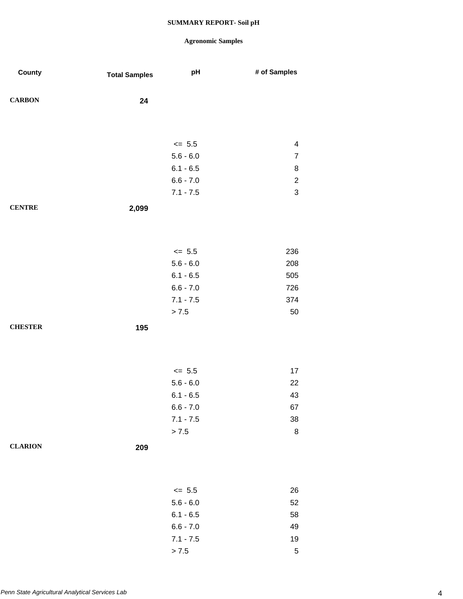| County         | <b>Total Samples</b> | pH          | # of Samples   |
|----------------|----------------------|-------------|----------------|
| <b>CARBON</b>  | 24                   |             |                |
|                |                      |             |                |
|                |                      | $\le$ 5.5   | 4              |
|                |                      | $5.6 - 6.0$ | $\overline{7}$ |
|                |                      | $6.1 - 6.5$ | $\bf 8$        |
|                |                      | $6.6 - 7.0$ | $\sqrt{2}$     |
|                |                      | $7.1 - 7.5$ | $\mathbf{3}$   |
| <b>CENTRE</b>  | 2,099                |             |                |
|                |                      |             |                |
|                |                      | $\leq$ 5.5  | 236            |
|                |                      | $5.6 - 6.0$ | 208            |
|                |                      | $6.1 - 6.5$ | 505            |
|                |                      | $6.6 - 7.0$ | 726            |
|                |                      | $7.1 - 7.5$ | 374            |
|                |                      | > 7.5       | 50             |
| <b>CHESTER</b> | 195                  |             |                |
|                |                      |             |                |
|                |                      |             |                |
|                |                      | $\leq$ 5.5  | 17             |
|                |                      | $5.6 - 6.0$ | 22             |
|                |                      | $6.1 - 6.5$ | 43             |
|                |                      | $6.6 - 7.0$ | 67             |
|                |                      | $7.1 - 7.5$ | 38             |
|                |                      | > 7.5       | $\bf 8$        |
| <b>CLARION</b> | 209                  |             |                |
|                |                      |             |                |
|                |                      | $\leq$ 5.5  | 26             |
|                |                      | $5.6 - 6.0$ | 52             |
|                |                      | $6.1 - 6.5$ | 58             |
|                |                      | $6.6 - 7.0$ | 49             |
|                |                      | $7.1 - 7.5$ | 19             |
|                |                      | > 7.5       | $\sqrt{5}$     |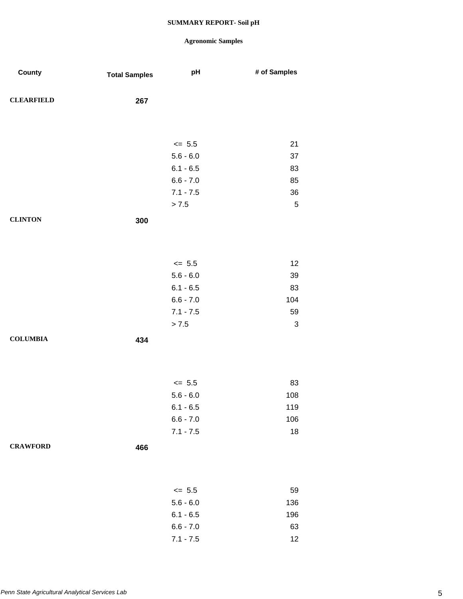| County            | <b>Total Samples</b> | pH          | # of Samples              |
|-------------------|----------------------|-------------|---------------------------|
| <b>CLEARFIELD</b> | 267                  |             |                           |
|                   |                      |             |                           |
|                   |                      | $\leq$ 5.5  | 21                        |
|                   |                      | $5.6 - 6.0$ | 37                        |
|                   |                      | $6.1 - 6.5$ | 83                        |
|                   |                      | $6.6 - 7.0$ | 85                        |
|                   |                      | $7.1 - 7.5$ | 36                        |
|                   |                      | > 7.5       | $\sqrt{5}$                |
| <b>CLINTON</b>    | 300                  |             |                           |
|                   |                      |             |                           |
|                   |                      |             |                           |
|                   |                      | $\le$ 5.5   | 12                        |
|                   |                      | $5.6 - 6.0$ | 39                        |
|                   |                      | $6.1 - 6.5$ | 83                        |
|                   |                      | $6.6 - 7.0$ | 104                       |
|                   |                      | $7.1 - 7.5$ | 59                        |
|                   |                      | > 7.5       | $\ensuremath{\mathsf{3}}$ |
| <b>COLUMBIA</b>   | 434                  |             |                           |
|                   |                      |             |                           |
|                   |                      |             |                           |
|                   |                      | $\le$ 5.5   | 83                        |
|                   |                      | $5.6 - 6.0$ | 108                       |
|                   |                      | $6.1 - 6.5$ | 119                       |
|                   |                      | $6.6 - 7.0$ | 106                       |
|                   |                      | $7.1 - 7.5$ | 18                        |
| <b>CRAWFORD</b>   | 466                  |             |                           |
|                   |                      |             |                           |
|                   |                      |             |                           |
|                   |                      | $\le$ 5.5   | 59                        |
|                   |                      | $5.6 - 6.0$ | 136                       |
|                   |                      | $6.1 - 6.5$ | 196                       |
|                   |                      | $6.6 - 7.0$ | 63                        |
|                   |                      | $7.1 - 7.5$ | 12                        |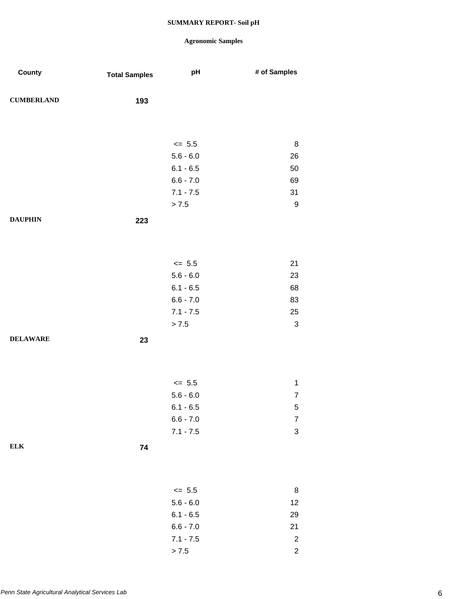| County            | <b>Total Samples</b> | pH          | # of Samples              |
|-------------------|----------------------|-------------|---------------------------|
| <b>CUMBERLAND</b> | 193                  |             |                           |
|                   |                      |             |                           |
|                   |                      | $\leq$ 5.5  | $\, 8$                    |
|                   |                      | $5.6 - 6.0$ | 26                        |
|                   |                      | $6.1 - 6.5$ | 50                        |
|                   |                      | $6.6 - 7.0$ | 69                        |
|                   |                      | $7.1 - 7.5$ | 31                        |
|                   |                      | > 7.5       | $\boldsymbol{9}$          |
| <b>DAUPHIN</b>    | 223                  |             |                           |
|                   |                      |             |                           |
|                   |                      | $\leq$ 5.5  | 21                        |
|                   |                      | $5.6 - 6.0$ | 23                        |
|                   |                      | $6.1 - 6.5$ | 68                        |
|                   |                      | $6.6 - 7.0$ | 83                        |
|                   |                      | $7.1 - 7.5$ | 25                        |
|                   |                      | > 7.5       | $\ensuremath{\mathsf{3}}$ |
| <b>DELAWARE</b>   | 23                   |             |                           |
|                   |                      |             |                           |
|                   |                      | $\le$ 5.5   | $\mathbf{1}$              |
|                   |                      | $5.6 - 6.0$ | $\overline{7}$            |
|                   |                      | $6.1 - 6.5$ | 5                         |
|                   |                      | $6.6 - 7.0$ | $\overline{\mathcal{I}}$  |
|                   |                      | $7.1 - 7.5$ | $\mathbf{3}$              |
| ${\bf ELK}$       | 74                   |             |                           |
|                   |                      |             |                           |
|                   |                      | $\leq$ 5.5  | $\bf 8$                   |
|                   |                      | $5.6 - 6.0$ | 12                        |
|                   |                      | $6.1 - 6.5$ | 29                        |
|                   |                      | $6.6 - 7.0$ | 21                        |
|                   |                      | $7.1 - 7.5$ | $\overline{c}$            |
|                   |                      | > 7.5       | $\overline{c}$            |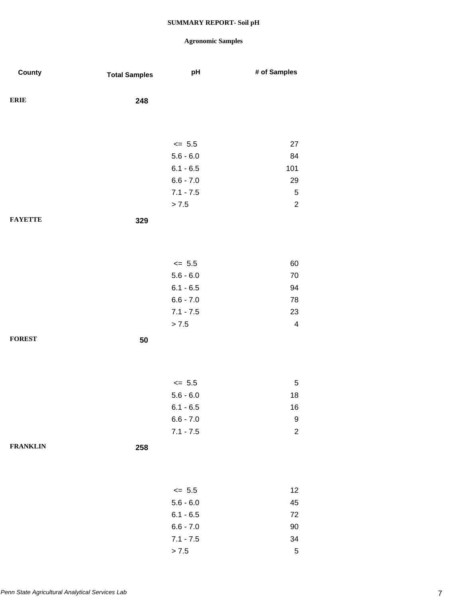| County          | <b>Total Samples</b> | pH                         | # of Samples            |
|-----------------|----------------------|----------------------------|-------------------------|
| <b>ERIE</b>     | 248                  |                            |                         |
|                 |                      |                            |                         |
|                 |                      | $\leq$ 5.5                 | 27                      |
|                 |                      | $5.6 - 6.0$                | 84                      |
|                 |                      | $6.1 - 6.5$                | 101                     |
|                 |                      | $6.6 - 7.0$                | 29                      |
|                 |                      | $7.1 - 7.5$                | $\,$ 5 $\,$             |
|                 |                      | > 7.5                      | $\sqrt{2}$              |
| <b>FAYETTE</b>  | 329                  |                            |                         |
|                 |                      |                            |                         |
|                 |                      | $\leq$ 5.5                 | 60                      |
|                 |                      | $5.6 - 6.0$                | 70                      |
|                 |                      | $6.1 - 6.5$                | 94                      |
|                 |                      | $6.6 - 7.0$                | 78                      |
|                 |                      | $7.1 - 7.5$                | 23                      |
|                 |                      | > 7.5                      | $\overline{\mathbf{4}}$ |
| <b>FOREST</b>   | 50                   |                            |                         |
|                 |                      |                            |                         |
|                 |                      |                            |                         |
|                 |                      | $\le$ 5.5<br>$5.6 - 6.0$   | $\sqrt{5}$<br>18        |
|                 |                      |                            |                         |
|                 |                      | $6.1 - 6.5$<br>$6.6 - 7.0$ | 16<br>$\boldsymbol{9}$  |
|                 |                      | $7.1 - 7.5$                | $\boldsymbol{2}$        |
| <b>FRANKLIN</b> |                      |                            |                         |
|                 | 258                  |                            |                         |
|                 |                      |                            |                         |
|                 |                      | $\leq$ 5.5                 | 12                      |
|                 |                      | $5.6 - 6.0$                | 45                      |
|                 |                      | $6.1 - 6.5$                | 72                      |
|                 |                      | $6.6 - 7.0$                | 90                      |
|                 |                      | $7.1 - 7.5$                | 34                      |
|                 |                      | > 7.5                      | $\,$ 5 $\,$             |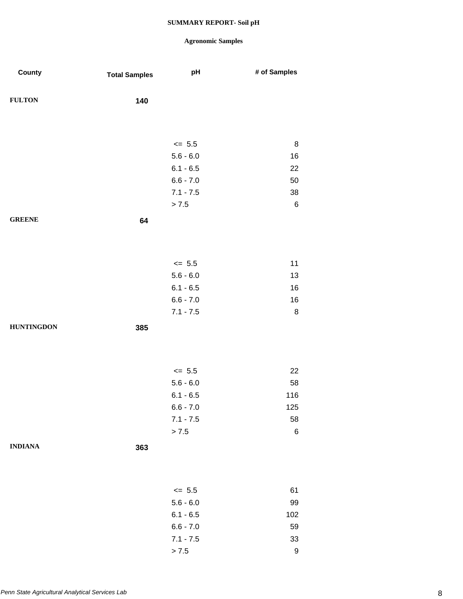| County            | <b>Total Samples</b> | pH                         | # of Samples     |
|-------------------|----------------------|----------------------------|------------------|
| <b>FULTON</b>     | 140                  |                            |                  |
|                   |                      |                            |                  |
|                   |                      | $\le$ 5.5                  | 8                |
|                   |                      | $5.6 - 6.0$                | 16               |
|                   |                      | $6.1 - 6.5$                | 22               |
|                   |                      | $6.6 - 7.0$                | 50               |
|                   |                      | $7.1 - 7.5$                | 38               |
|                   |                      | > 7.5                      | $\,6\,$          |
| <b>GREENE</b>     | 64                   |                            |                  |
|                   |                      |                            |                  |
|                   |                      |                            |                  |
|                   |                      | $\le$ 5.5                  | 11               |
|                   |                      | $5.6 - 6.0$                | 13               |
|                   |                      | $6.1 - 6.5$                | 16               |
|                   |                      | $6.6 - 7.0$                | 16               |
|                   |                      | $7.1 - 7.5$                | $\bf 8$          |
| <b>HUNTINGDON</b> | 385                  |                            |                  |
|                   |                      |                            |                  |
|                   |                      |                            |                  |
|                   |                      |                            |                  |
|                   |                      | $\le$ 5.5                  | 22               |
|                   |                      | $5.6 - 6.0$                | 58               |
|                   |                      | $6.1 - 6.5$                | 116              |
|                   |                      | $6.6 - 7.0$<br>$7.1 - 7.5$ | 125<br>58        |
|                   |                      | > 7.5                      | $\,6$            |
|                   |                      |                            |                  |
| <b>INDIANA</b>    | 363                  |                            |                  |
|                   |                      |                            |                  |
|                   |                      |                            |                  |
|                   |                      | $\leq$ 5.5                 | 61               |
|                   |                      | $5.6 - 6.0$                | 99               |
|                   |                      | $6.1 - 6.5$                | 102              |
|                   |                      | $6.6 - 7.0$                | 59               |
|                   |                      | $7.1 - 7.5$                | $33\,$           |
|                   |                      | > 7.5                      | $\boldsymbol{9}$ |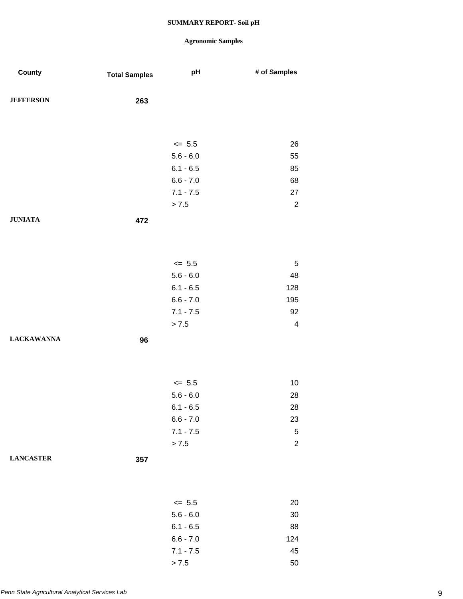| County            | <b>Total Samples</b> | pH          | # of Samples             |
|-------------------|----------------------|-------------|--------------------------|
| <b>JEFFERSON</b>  | 263                  |             |                          |
|                   |                      |             |                          |
|                   |                      | $\leq$ 5.5  | 26                       |
|                   |                      | $5.6 - 6.0$ | 55                       |
|                   |                      | $6.1 - 6.5$ | 85                       |
|                   |                      | $6.6 - 7.0$ | 68                       |
|                   |                      | $7.1 - 7.5$ | 27                       |
|                   |                      | > 7.5       | $\overline{2}$           |
| <b>JUNIATA</b>    | 472                  |             |                          |
|                   |                      |             |                          |
|                   |                      | $\leq$ 5.5  | $\sqrt{5}$               |
|                   |                      | $5.6 - 6.0$ | 48                       |
|                   |                      | $6.1 - 6.5$ | 128                      |
|                   |                      | $6.6 - 7.0$ | 195                      |
|                   |                      | $7.1 - 7.5$ | 92                       |
|                   |                      | > 7.5       | $\overline{\mathcal{A}}$ |
| <b>LACKAWANNA</b> | 96                   |             |                          |
|                   |                      |             |                          |
|                   |                      | $\leq$ 5.5  | 10                       |
|                   |                      | $5.6 - 6.0$ | 28                       |
|                   |                      | $6.1 - 6.5$ | 28                       |
|                   |                      | $6.6 - 7.0$ | 23                       |
|                   |                      | $7.1 - 7.5$ | $\,$ 5 $\,$              |
|                   |                      | > 7.5       | $\overline{c}$           |
| <b>LANCASTER</b>  | 357                  |             |                          |
|                   |                      |             |                          |
|                   |                      | $\leq$ 5.5  | 20                       |
|                   |                      | $5.6 - 6.0$ | 30                       |
|                   |                      | $6.1 - 6.5$ | 88                       |
|                   |                      | $6.6 - 7.0$ | 124                      |
|                   |                      | $7.1 - 7.5$ | 45                       |
|                   |                      | > 7.5       | 50                       |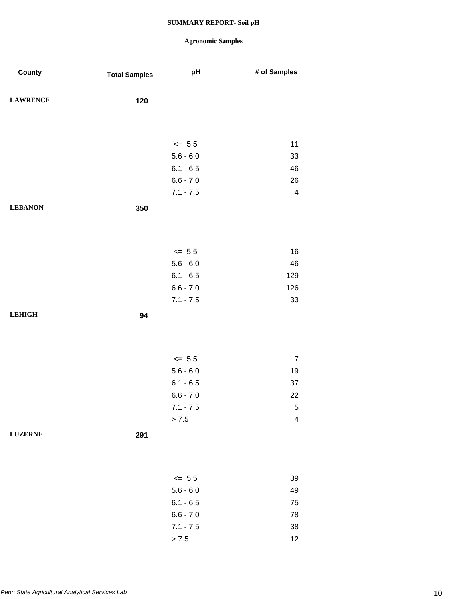| County          | <b>Total Samples</b> | pH          | # of Samples            |
|-----------------|----------------------|-------------|-------------------------|
| <b>LAWRENCE</b> | 120                  |             |                         |
|                 |                      |             |                         |
|                 |                      | $\leq$ 5.5  | 11                      |
|                 |                      | $5.6 - 6.0$ | 33                      |
|                 |                      | $6.1 - 6.5$ | 46                      |
|                 |                      | $6.6 - 7.0$ | 26                      |
|                 |                      | $7.1 - 7.5$ | $\overline{\mathbf{4}}$ |
| <b>LEBANON</b>  | 350                  |             |                         |
|                 |                      |             |                         |
|                 |                      | $\leq$ 5.5  | 16                      |
|                 |                      | $5.6 - 6.0$ | 46                      |
|                 |                      | $6.1 - 6.5$ | 129                     |
|                 |                      | $6.6 - 7.0$ | 126                     |
|                 |                      | $7.1 - 7.5$ | 33                      |
| <b>LEHIGH</b>   | 94                   |             |                         |
|                 |                      |             |                         |
|                 |                      |             |                         |
|                 |                      | $\le$ 5.5   | $\boldsymbol{7}$        |
|                 |                      | $5.6 - 6.0$ | 19                      |
|                 |                      | $6.1 - 6.5$ | $37\,$                  |
|                 |                      | $6.6 - 7.0$ | 22                      |
|                 |                      | $7.1 - 7.5$ | 5                       |
|                 |                      | > 7.5       | $\overline{\mathbf{4}}$ |
| <b>LUZERNE</b>  | 291                  |             |                         |
|                 |                      |             |                         |
|                 |                      | $\leq$ 5.5  | 39                      |
|                 |                      | $5.6 - 6.0$ | 49                      |
|                 |                      | $6.1 - 6.5$ | 75                      |
|                 |                      | $6.6 - 7.0$ | 78                      |
|                 |                      | $7.1 - 7.5$ | 38                      |
|                 |                      | $> 7.5$     | 12                      |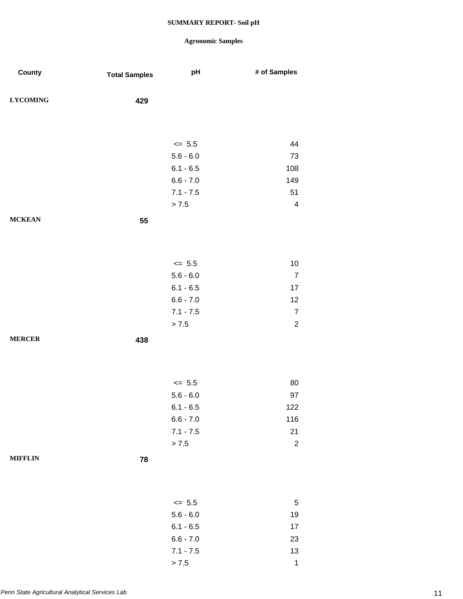## **Agronomic Samples**

 $> 7.5$  1

| County          | <b>Total Samples</b> | pH          | # of Samples            |
|-----------------|----------------------|-------------|-------------------------|
| <b>LYCOMING</b> | 429                  |             |                         |
|                 |                      |             |                         |
|                 |                      | $\leq$ 5.5  | 44                      |
|                 |                      | $5.6 - 6.0$ | 73                      |
|                 |                      | $6.1 - 6.5$ | 108                     |
|                 |                      | $6.6 - 7.0$ | 149                     |
|                 |                      | $7.1 - 7.5$ | 51                      |
|                 |                      | > 7.5       | $\overline{\mathbf{4}}$ |
| <b>MCKEAN</b>   | 55                   |             |                         |
|                 |                      |             |                         |
|                 |                      | $\le$ 5.5   | 10                      |
|                 |                      | $5.6 - 6.0$ | $\overline{7}$          |
|                 |                      | $6.1 - 6.5$ | 17                      |
|                 |                      | $6.6 - 7.0$ | 12                      |
|                 |                      | $7.1 - 7.5$ | $\overline{7}$          |
|                 |                      | > 7.5       | $\overline{2}$          |
| <b>MERCER</b>   | 438                  |             |                         |
|                 |                      |             |                         |
|                 |                      | $\leq$ 5.5  | 80                      |
|                 |                      | $5.6 - 6.0$ | 97                      |
|                 |                      | $6.1 - 6.5$ | 122                     |
|                 |                      | $6.6 - 7.0$ | 116                     |
|                 |                      | $7.1 - 7.5$ | 21                      |
|                 |                      | > 7.5       | $\overline{c}$          |
| <b>MIFFLIN</b>  | 78                   |             |                         |
|                 |                      |             |                         |
|                 |                      | $\leq$ 5.5  | 5                       |
|                 |                      | $5.6 - 6.0$ | 19                      |
|                 |                      | $6.1 - 6.5$ | 17                      |
|                 |                      | $6.6 - 7.0$ | 23                      |
|                 |                      | $7.1 - 7.5$ | $13$                    |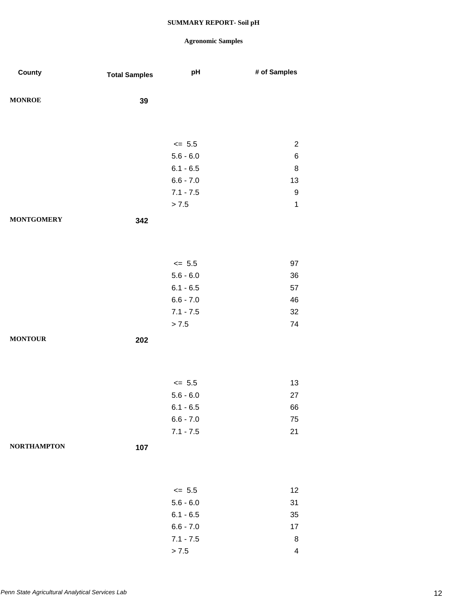| County             | <b>Total Samples</b> | pH          | # of Samples            |
|--------------------|----------------------|-------------|-------------------------|
|                    |                      |             |                         |
| <b>MONROE</b>      | 39                   |             |                         |
|                    |                      |             |                         |
|                    |                      |             |                         |
|                    |                      | $\leq$ 5.5  | $\overline{c}$          |
|                    |                      | $5.6 - 6.0$ | $\,6$                   |
|                    |                      | $6.1 - 6.5$ | $\bf 8$                 |
|                    |                      | $6.6 - 7.0$ | 13                      |
|                    |                      | $7.1 - 7.5$ | $\boldsymbol{9}$        |
|                    |                      | > 7.5       | $\mathbf 1$             |
| <b>MONTGOMERY</b>  | 342                  |             |                         |
|                    |                      |             |                         |
|                    |                      |             |                         |
|                    |                      | $\leq$ 5.5  | 97                      |
|                    |                      | $5.6 - 6.0$ | 36                      |
|                    |                      | $6.1 - 6.5$ | 57                      |
|                    |                      | $6.6 - 7.0$ | 46                      |
|                    |                      | $7.1 - 7.5$ | 32                      |
|                    |                      | > 7.5       | 74                      |
| <b>MONTOUR</b>     | 202                  |             |                         |
|                    |                      |             |                         |
|                    |                      |             |                         |
|                    |                      | $\le$ 5.5   | 13                      |
|                    |                      | $5.6 - 6.0$ | 27                      |
|                    |                      | $6.1 - 6.5$ | 66                      |
|                    |                      | $6.6 - 7.0$ | 75                      |
|                    |                      | $7.1 - 7.5$ | 21                      |
| <b>NORTHAMPTON</b> | 107                  |             |                         |
|                    |                      |             |                         |
|                    |                      |             |                         |
|                    |                      |             |                         |
|                    |                      | $\leq$ 5.5  | 12                      |
|                    |                      | $5.6 - 6.0$ | 31                      |
|                    |                      | $6.1 - 6.5$ | 35                      |
|                    |                      | $6.6 - 7.0$ | 17                      |
|                    |                      | $7.1 - 7.5$ | 8                       |
|                    |                      | > 7.5       | $\overline{\mathbf{4}}$ |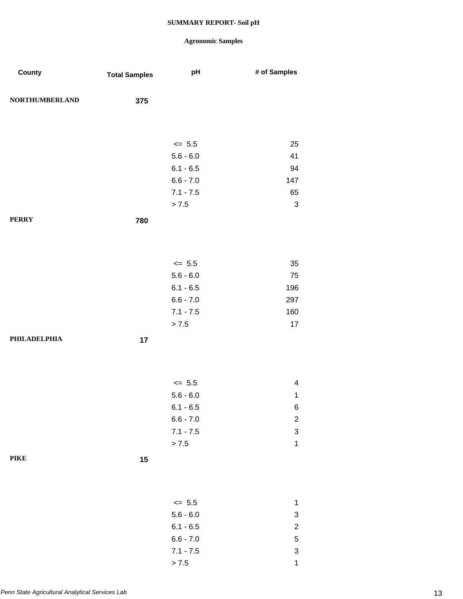## **Agronomic Samples**

 $> 7.5$  1

| County                | <b>Total Samples</b> | pH          | # of Samples              |
|-----------------------|----------------------|-------------|---------------------------|
| <b>NORTHUMBERLAND</b> | 375                  |             |                           |
|                       |                      |             |                           |
|                       |                      | $\leq$ 5.5  | 25                        |
|                       |                      | $5.6 - 6.0$ | 41                        |
|                       |                      | $6.1 - 6.5$ | 94                        |
|                       |                      | $6.6 - 7.0$ | 147                       |
|                       |                      | $7.1 - 7.5$ | 65                        |
|                       |                      | > 7.5       | $\sqrt{3}$                |
| <b>PERRY</b>          | 780                  |             |                           |
|                       |                      |             |                           |
|                       |                      | $\le$ 5.5   | 35                        |
|                       |                      | $5.6 - 6.0$ | 75                        |
|                       |                      | $6.1 - 6.5$ | 196                       |
|                       |                      | $6.6 - 7.0$ | 297                       |
|                       |                      | $7.1 - 7.5$ | 160                       |
|                       |                      | > 7.5       | 17                        |
| <b>PHILADELPHIA</b>   | 17                   |             |                           |
|                       |                      |             |                           |
|                       |                      | $\le$ 5.5   | $\overline{\mathbf{4}}$   |
|                       |                      | $5.6 - 6.0$ | $\mathbf{1}$              |
|                       |                      | $6.1 - 6.5$ | 6                         |
|                       |                      | $6.6 - 7.0$ | $\overline{\mathbf{c}}$   |
|                       |                      | $7.1 - 7.5$ | $\ensuremath{\mathsf{3}}$ |
|                       |                      | $> 7.5$     | $\mathbf 1$               |
| <b>PIKE</b>           | 15                   |             |                           |
|                       |                      |             |                           |
|                       |                      | $\leq$ 5.5  | $\mathbf{1}$              |
|                       |                      | $5.6 - 6.0$ | $\ensuremath{\mathsf{3}}$ |
|                       |                      | $6.1 - 6.5$ | $\overline{\mathbf{c}}$   |
|                       |                      | $6.6 - 7.0$ | $\mathbf 5$               |
|                       |                      | $7.1 - 7.5$ | $\ensuremath{\mathsf{3}}$ |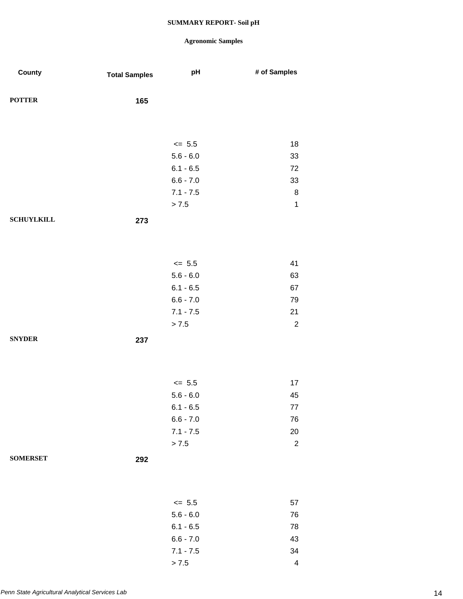| County            | <b>Total Samples</b> | pH                         | # of Samples            |
|-------------------|----------------------|----------------------------|-------------------------|
| <b>POTTER</b>     | 165                  |                            |                         |
|                   |                      |                            |                         |
|                   |                      | $\le$ 5.5                  | 18                      |
|                   |                      | $5.6 - 6.0$                | 33                      |
|                   |                      | $6.1 - 6.5$<br>$6.6 - 7.0$ | 72<br>33                |
|                   |                      | $7.1 - 7.5$                | 8                       |
|                   |                      | > 7.5                      | $\mathbf{1}$            |
| <b>SCHUYLKILL</b> | 273                  |                            |                         |
|                   |                      |                            |                         |
|                   |                      |                            |                         |
|                   |                      | $\le$ 5.5                  | 41                      |
|                   |                      | $5.6 - 6.0$                | 63                      |
|                   |                      | $6.1 - 6.5$<br>$6.6 - 7.0$ | 67<br>79                |
|                   |                      | $7.1 - 7.5$                | 21                      |
|                   |                      | > 7.5                      | $\overline{2}$          |
| <b>SNYDER</b>     | 237                  |                            |                         |
|                   |                      |                            |                         |
|                   |                      |                            |                         |
|                   |                      | $\le$ 5.5<br>$5.6 - 6.0$   | 17<br>45                |
|                   |                      | $6.1 - 6.5$                | $77 \,$                 |
|                   |                      | $6.6 - 7.0$                | 76                      |
|                   |                      | $7.1 - 7.5$                | 20                      |
|                   |                      | > 7.5                      | $\sqrt{2}$              |
| <b>SOMERSET</b>   | 292                  |                            |                         |
|                   |                      |                            |                         |
|                   |                      | $\leq$ 5.5                 | 57                      |
|                   |                      | $5.6 - 6.0$                | 76                      |
|                   |                      | $6.1 - 6.5$                | 78                      |
|                   |                      | $6.6 - 7.0$                | 43                      |
|                   |                      | $7.1 - 7.5$                | 34                      |
|                   |                      | > 7.5                      | $\overline{\mathbf{4}}$ |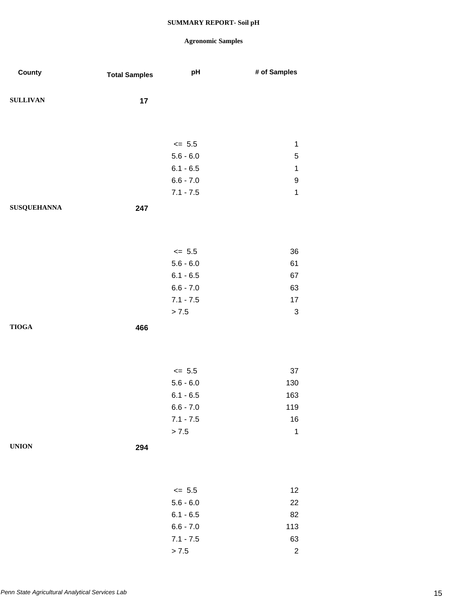| County             | <b>Total Samples</b> | pH          | # of Samples              |
|--------------------|----------------------|-------------|---------------------------|
| <b>SULLIVAN</b>    | 17                   |             |                           |
|                    |                      |             |                           |
|                    |                      | $\le$ 5.5   | 1                         |
|                    |                      | $5.6 - 6.0$ | 5                         |
|                    |                      | $6.1 - 6.5$ | $\mathbf 1$               |
|                    |                      | $6.6 - 7.0$ | 9                         |
|                    |                      | $7.1 - 7.5$ | $\mathbf 1$               |
| <b>SUSQUEHANNA</b> | 247                  |             |                           |
|                    |                      |             |                           |
|                    |                      | $\le$ 5.5   | 36                        |
|                    |                      | $5.6 - 6.0$ | 61                        |
|                    |                      | $6.1 - 6.5$ | 67                        |
|                    |                      | $6.6 - 7.0$ | 63                        |
|                    |                      | $7.1 - 7.5$ | 17                        |
|                    |                      | > 7.5       | $\ensuremath{\mathsf{3}}$ |
| <b>TIOGA</b>       | 466                  |             |                           |
|                    |                      |             |                           |
|                    |                      | $\le$ 5.5   | 37                        |
|                    |                      | $5.6 - 6.0$ | 130                       |
|                    |                      | $6.1 - 6.5$ | 163                       |
|                    |                      | $6.6 - 7.0$ | 119                       |
|                    |                      | $7.1 - 7.5$ | $16\,$                    |
|                    |                      | > 7.5       | $\mathbf 1$               |
| <b>UNION</b>       | 294                  |             |                           |
|                    |                      |             |                           |
|                    |                      | $\le$ 5.5   | 12                        |
|                    |                      | $5.6 - 6.0$ | 22                        |
|                    |                      | $6.1 - 6.5$ | 82                        |
|                    |                      | $6.6 - 7.0$ | 113                       |
|                    |                      | $7.1 - 7.5$ | 63                        |
|                    |                      | > 7.5       | $\sqrt{2}$                |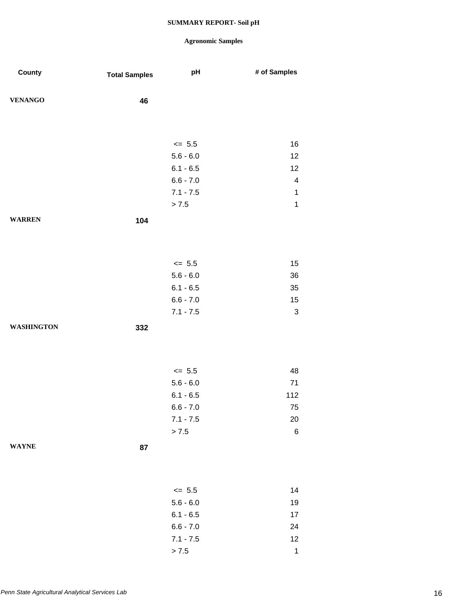| County            | <b>Total Samples</b> | pH          | # of Samples              |
|-------------------|----------------------|-------------|---------------------------|
| <b>VENANGO</b>    | 46                   |             |                           |
|                   |                      |             |                           |
|                   |                      | $\leq$ 5.5  | 16                        |
|                   |                      | $5.6 - 6.0$ | 12                        |
|                   |                      | $6.1 - 6.5$ | 12                        |
|                   |                      | $6.6 - 7.0$ | $\overline{\mathbf{4}}$   |
|                   |                      | $7.1 - 7.5$ | $\mathbf{1}$              |
|                   |                      | > 7.5       | $\mathbf 1$               |
| <b>WARREN</b>     | 104                  |             |                           |
|                   |                      |             |                           |
|                   |                      | $\leq$ 5.5  | 15                        |
|                   |                      | $5.6 - 6.0$ | 36                        |
|                   |                      | $6.1 - 6.5$ | 35                        |
|                   |                      | $6.6 - 7.0$ | 15                        |
|                   |                      | $7.1 - 7.5$ | $\ensuremath{\mathsf{3}}$ |
| <b>WASHINGTON</b> | 332                  |             |                           |
|                   |                      |             |                           |
|                   |                      | $\leq$ 5.5  | 48                        |
|                   |                      | $5.6 - 6.0$ | 71                        |
|                   |                      | $6.1 - 6.5$ | 112                       |
|                   |                      | $6.6 - 7.0$ | 75                        |
|                   |                      | $7.1 - 7.5$ | 20                        |
|                   |                      | > 7.5       | $\,6$                     |
| <b>WAYNE</b>      | 87                   |             |                           |
|                   |                      |             |                           |
|                   |                      | $\leq$ 5.5  | 14                        |
|                   |                      | $5.6 - 6.0$ | 19                        |
|                   |                      | $6.1 - 6.5$ | 17                        |
|                   |                      | $6.6 - 7.0$ | 24                        |
|                   |                      | $7.1 - 7.5$ | 12                        |
|                   |                      | $> 7.5$     | $\mathbf{1}$              |